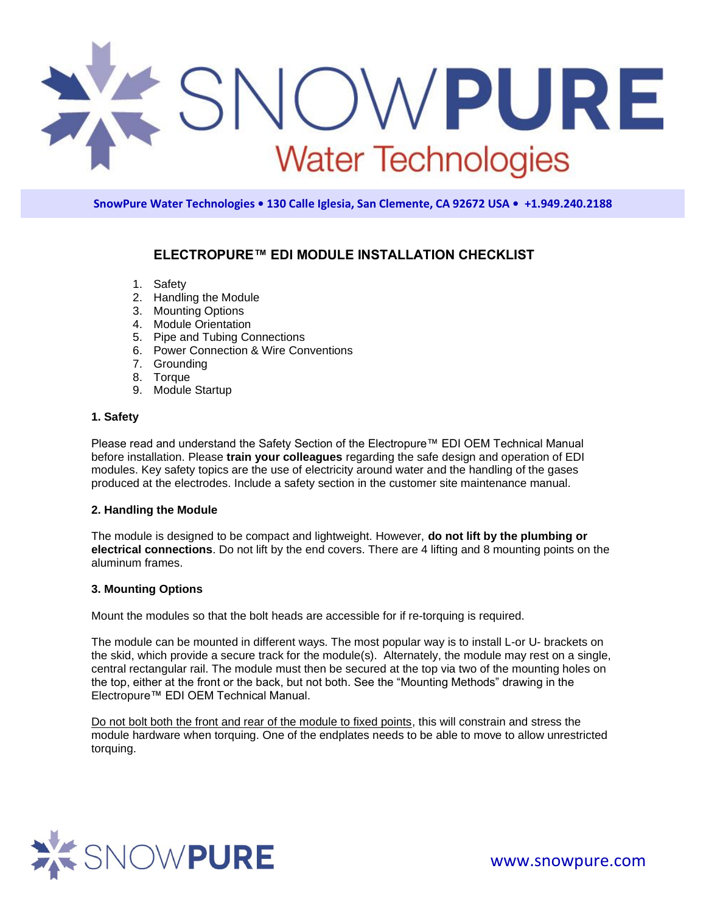

# **ELECTROPURE™ EDI MODULE INSTALLATION CHECKLIST**

- 1. Safety
- 2. Handling the Module
- 3. Mounting Options
- 4. Module Orientation
- 5. Pipe and Tubing Connections
- 6. Power Connection & Wire Conventions
- 7. Grounding
- 8. Torque
- 9. Module Startup

## **1. Safety**

Please read and understand the Safety Section of the Electropure™ EDI OEM Technical Manual before installation. Please **train your colleagues** regarding the safe design and operation of EDI modules. Key safety topics are the use of electricity around water and the handling of the gases produced at the electrodes. Include a safety section in the customer site maintenance manual.

# **2. Handling the Module**

The module is designed to be compact and lightweight. However, **do not lift by the plumbing or electrical connections**. Do not lift by the end covers. There are 4 lifting and 8 mounting points on the aluminum frames.

# **3. Mounting Options**

Mount the modules so that the bolt heads are accessible for if re-torquing is required.

The module can be mounted in different ways. The most popular way is to install L-or U- brackets on the skid, which provide a secure track for the module(s). Alternately, the module may rest on a single, central rectangular rail. The module must then be secured at the top via two of the mounting holes on the top, either at the front or the back, but not both. See the "Mounting Methods" drawing in the Electropure™ EDI OEM Technical Manual.

Do not bolt both the front and rear of the module to fixed points, this will constrain and stress the module hardware when torquing. One of the endplates needs to be able to move to allow unrestricted torquing.

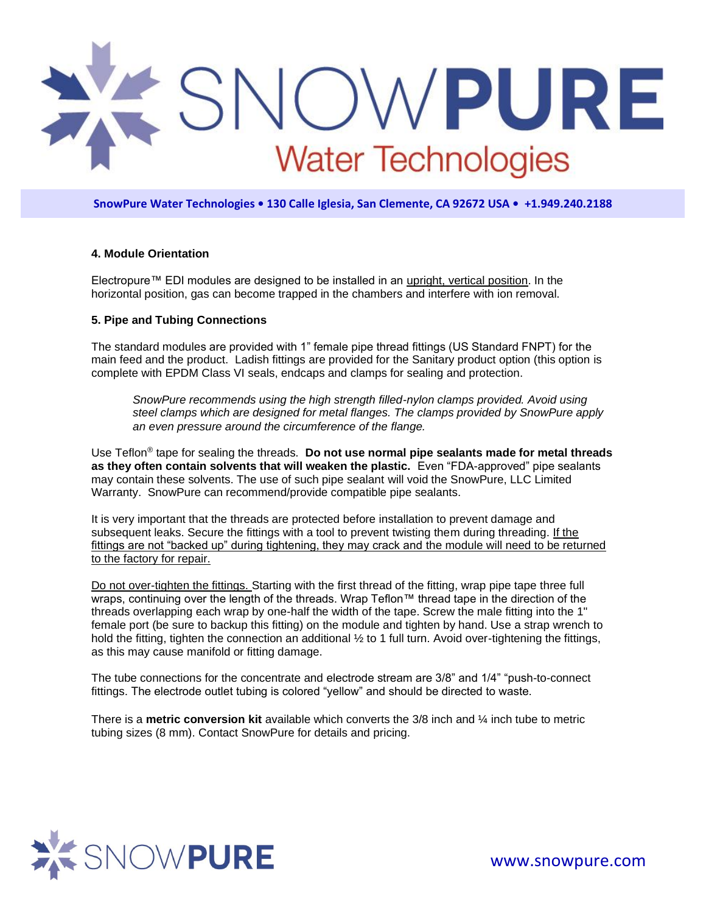

# **4. Module Orientation**

Electropure™ EDI modules are designed to be installed in an upright, vertical position. In the horizontal position, gas can become trapped in the chambers and interfere with ion removal.

## **5. Pipe and Tubing Connections**

The standard modules are provided with 1" female pipe thread fittings (US Standard FNPT) for the main feed and the product. Ladish fittings are provided for the Sanitary product option (this option is complete with EPDM Class VI seals, endcaps and clamps for sealing and protection.

*SnowPure recommends using the high strength filled-nylon clamps provided. Avoid using steel clamps which are designed for metal flanges. The clamps provided by SnowPure apply an even pressure around the circumference of the flange.* 

Use Teflon® tape for sealing the threads. **Do not use normal pipe sealants made for metal threads as they often contain solvents that will weaken the plastic.** Even "FDA-approved" pipe sealants may contain these solvents. The use of such pipe sealant will void the SnowPure, LLC Limited Warranty. SnowPure can recommend/provide compatible pipe sealants.

It is very important that the threads are protected before installation to prevent damage and subsequent leaks. Secure the fittings with a tool to prevent twisting them during threading. If the fittings are not "backed up" during tightening, they may crack and the module will need to be returned to the factory for repair.

Do not over-tighten the fittings. Starting with the first thread of the fitting, wrap pipe tape three full wraps, continuing over the length of the threads. Wrap Teflon™ thread tape in the direction of the threads overlapping each wrap by one-half the width of the tape. Screw the male fitting into the 1" female port (be sure to backup this fitting) on the module and tighten by hand. Use a strap wrench to hold the fitting, tighten the connection an additional  $\frac{1}{2}$  to 1 full turn. Avoid over-tightening the fittings, as this may cause manifold or fitting damage.

The tube connections for the concentrate and electrode stream are 3/8" and 1/4" "push-to-connect fittings. The electrode outlet tubing is colored "yellow" and should be directed to waste.

There is a **metric conversion kit** available which converts the 3/8 inch and ¼ inch tube to metric tubing sizes (8 mm). Contact SnowPure for details and pricing.

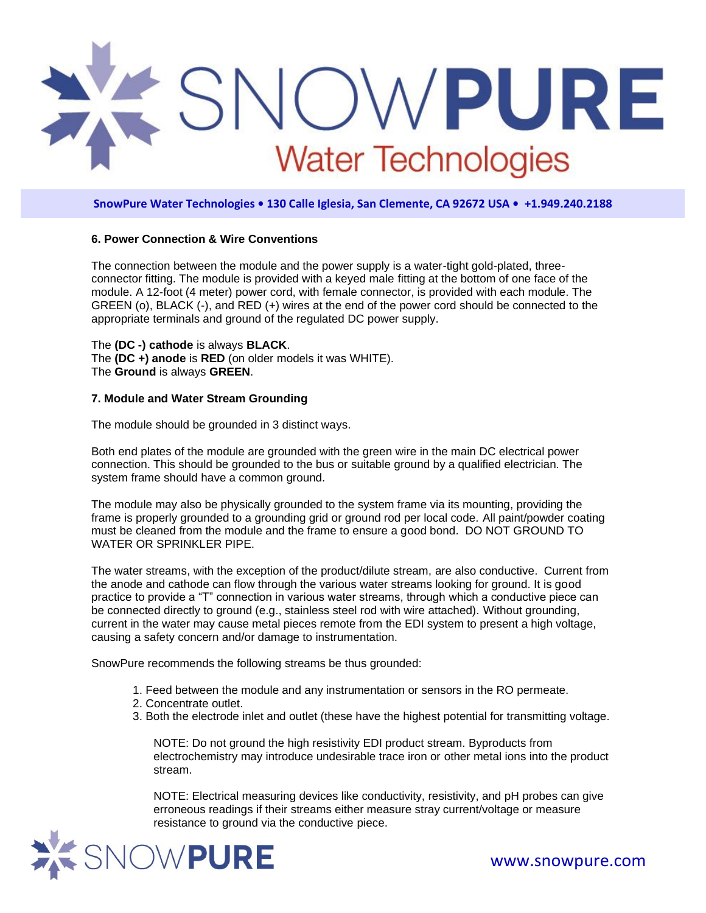

### **6. Power Connection & Wire Conventions**

The connection between the module and the power supply is a water-tight gold-plated, threeconnector fitting. The module is provided with a keyed male fitting at the bottom of one face of the module. A 12-foot (4 meter) power cord, with female connector, is provided with each module. The GREEN (o), BLACK (-), and RED (+) wires at the end of the power cord should be connected to the appropriate terminals and ground of the regulated DC power supply.

The **(DC -) cathode** is always **BLACK**. The **(DC +) anode** is **RED** (on older models it was WHITE). The **Ground** is always **GREEN**.

## **7. Module and Water Stream Grounding**

The module should be grounded in 3 distinct ways.

Both end plates of the module are grounded with the green wire in the main DC electrical power connection. This should be grounded to the bus or suitable ground by a qualified electrician. The system frame should have a common ground.

The module may also be physically grounded to the system frame via its mounting, providing the frame is properly grounded to a grounding grid or ground rod per local code. All paint/powder coating must be cleaned from the module and the frame to ensure a good bond. DO NOT GROUND TO WATER OR SPRINKLER PIPE.

The water streams, with the exception of the product/dilute stream, are also conductive. Current from the anode and cathode can flow through the various water streams looking for ground. It is good practice to provide a "T" connection in various water streams, through which a conductive piece can be connected directly to ground (e.g., stainless steel rod with wire attached). Without grounding, current in the water may cause metal pieces remote from the EDI system to present a high voltage, causing a safety concern and/or damage to instrumentation.

SnowPure recommends the following streams be thus grounded:

- 1. Feed between the module and any instrumentation or sensors in the RO permeate.
- 2. Concentrate outlet.
- 3. Both the electrode inlet and outlet (these have the highest potential for transmitting voltage.

NOTE: Do not ground the high resistivity EDI product stream. Byproducts from electrochemistry may introduce undesirable trace iron or other metal ions into the product stream.

NOTE: Electrical measuring devices like conductivity, resistivity, and pH probes can give erroneous readings if their streams either measure stray current/voltage or measure resistance to ground via the conductive piece.

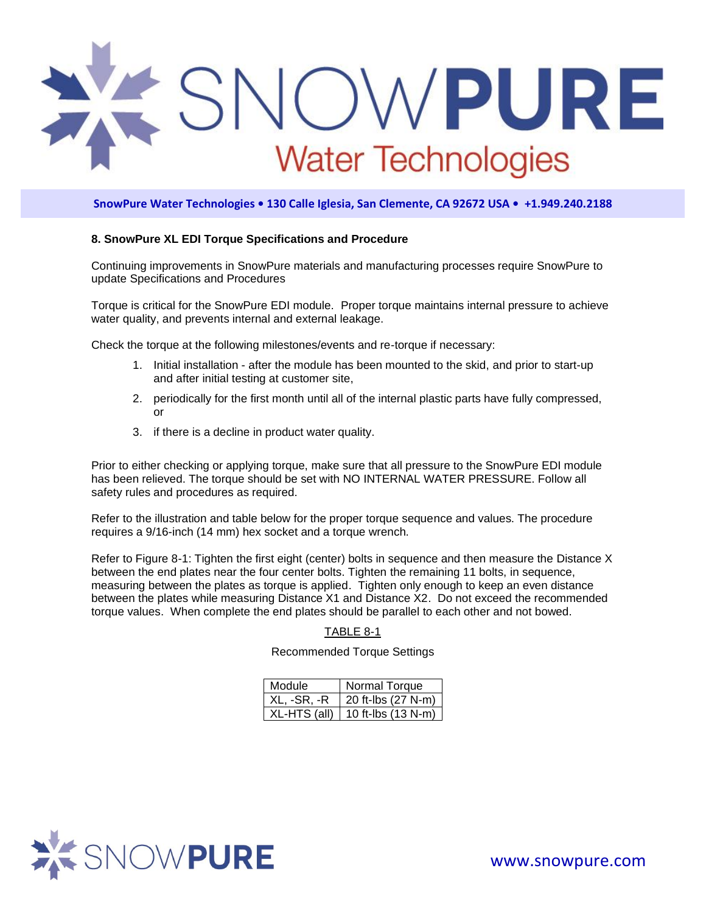

### **8. SnowPure XL EDI Torque Specifications and Procedure**

Continuing improvements in SnowPure materials and manufacturing processes require SnowPure to update Specifications and Procedures

Torque is critical for the SnowPure EDI module. Proper torque maintains internal pressure to achieve water quality, and prevents internal and external leakage.

Check the torque at the following milestones/events and re-torque if necessary:

- 1. Initial installation after the module has been mounted to the skid, and prior to start-up and after initial testing at customer site,
- 2. periodically for the first month until all of the internal plastic parts have fully compressed, or
- 3. if there is a decline in product water quality.

Prior to either checking or applying torque, make sure that all pressure to the SnowPure EDI module has been relieved. The torque should be set with NO INTERNAL WATER PRESSURE. Follow all safety rules and procedures as required.

Refer to the illustration and table below for the proper torque sequence and values. The procedure requires a 9/16-inch (14 mm) hex socket and a torque wrench.

Refer to Figure 8-1: Tighten the first eight (center) bolts in sequence and then measure the Distance X between the end plates near the four center bolts. Tighten the remaining 11 bolts, in sequence, measuring between the plates as torque is applied. Tighten only enough to keep an even distance between the plates while measuring Distance X1 and Distance X2. Do not exceed the recommended torque values. When complete the end plates should be parallel to each other and not bowed.

#### TABLE 8-1

# Recommended Torque Settings

| Module        | Normal Torque                        |  |
|---------------|--------------------------------------|--|
| $XL, -SR, -R$ | $\vert$ 20 ft-lbs (27 N-m)           |  |
|               | $XL$ -HTS (all)   10 ft-lbs (13 N-m) |  |

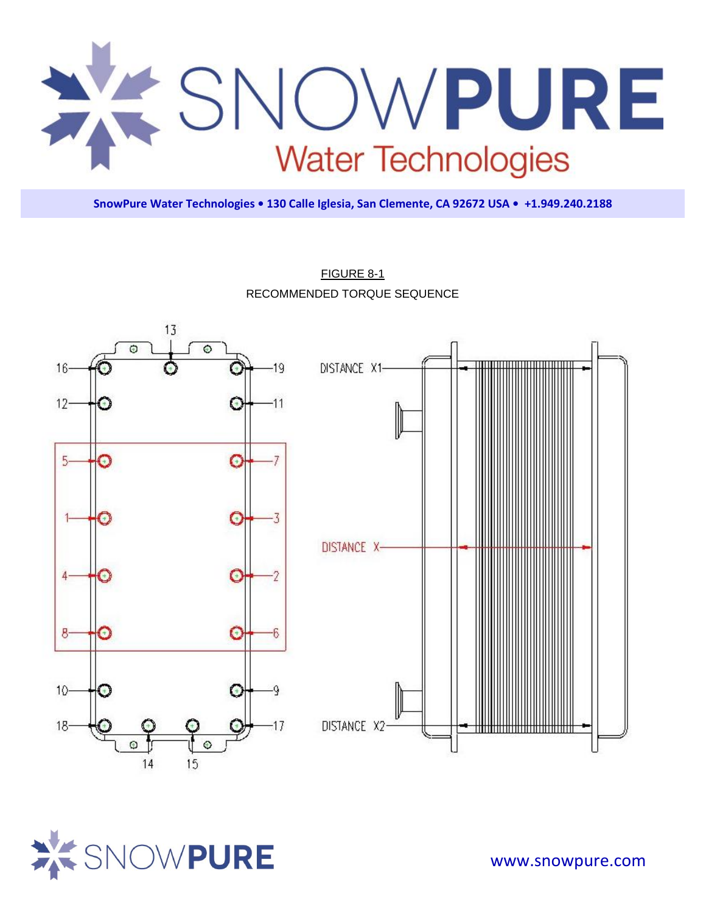



FIGURE 8-1 RECOMMENDED TORQUE SEQUENCE

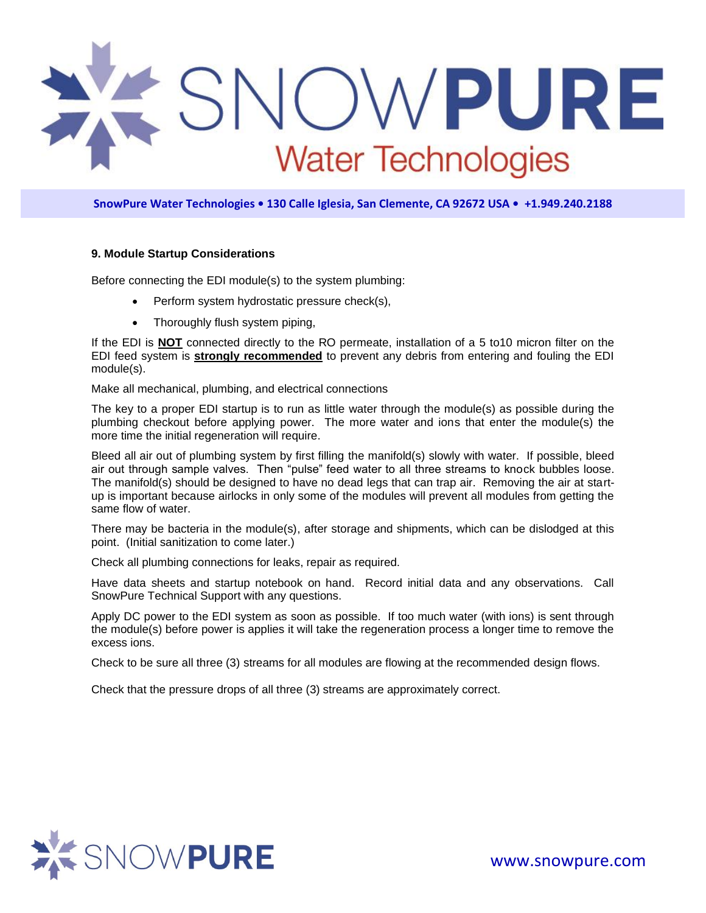

### **9. Module Startup Considerations**

Before connecting the EDI module(s) to the system plumbing:

- Perform system hydrostatic pressure check(s),
- Thoroughly flush system piping,

If the EDI is **NOT** connected directly to the RO permeate, installation of a 5 to10 micron filter on the EDI feed system is **strongly recommended** to prevent any debris from entering and fouling the EDI module(s).

Make all mechanical, plumbing, and electrical connections

The key to a proper EDI startup is to run as little water through the module(s) as possible during the plumbing checkout before applying power. The more water and ions that enter the module(s) the more time the initial regeneration will require.

Bleed all air out of plumbing system by first filling the manifold(s) slowly with water. If possible, bleed air out through sample valves. Then "pulse" feed water to all three streams to knock bubbles loose. The manifold(s) should be designed to have no dead legs that can trap air. Removing the air at startup is important because airlocks in only some of the modules will prevent all modules from getting the same flow of water.

There may be bacteria in the module(s), after storage and shipments, which can be dislodged at this point. (Initial sanitization to come later.)

Check all plumbing connections for leaks, repair as required.

Have data sheets and startup notebook on hand. Record initial data and any observations. Call SnowPure Technical Support with any questions.

Apply DC power to the EDI system as soon as possible. If too much water (with ions) is sent through the module(s) before power is applies it will take the regeneration process a longer time to remove the excess ions.

Check to be sure all three (3) streams for all modules are flowing at the recommended design flows.

Check that the pressure drops of all three (3) streams are approximately correct.

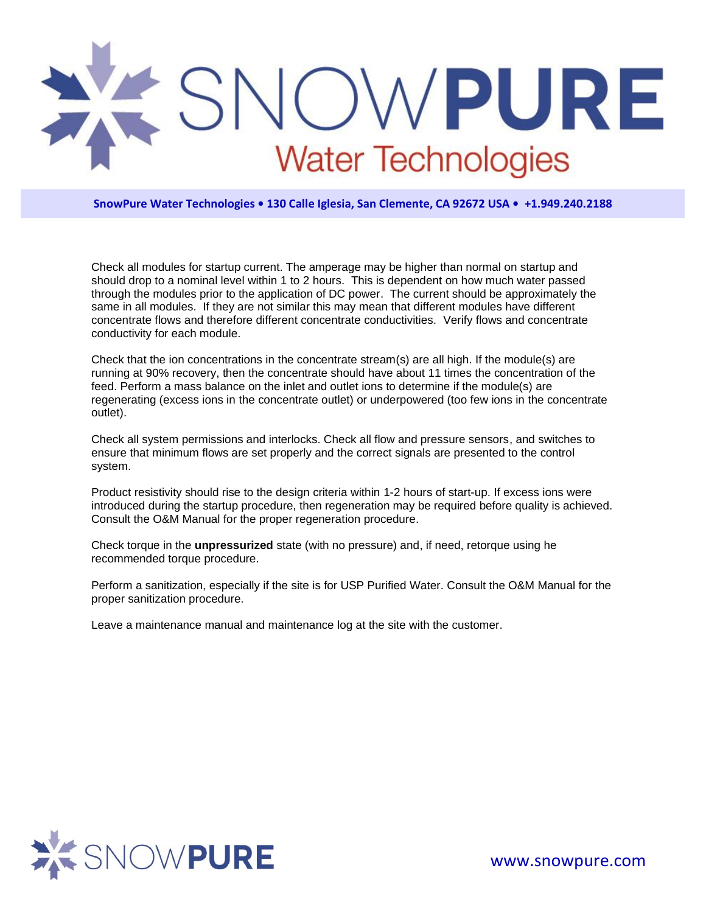

Check all modules for startup current. The amperage may be higher than normal on startup and should drop to a nominal level within 1 to 2 hours. This is dependent on how much water passed through the modules prior to the application of DC power. The current should be approximately the same in all modules. If they are not similar this may mean that different modules have different concentrate flows and therefore different concentrate conductivities. Verify flows and concentrate conductivity for each module.

Check that the ion concentrations in the concentrate stream(s) are all high. If the module(s) are running at 90% recovery, then the concentrate should have about 11 times the concentration of the feed. Perform a mass balance on the inlet and outlet ions to determine if the module(s) are regenerating (excess ions in the concentrate outlet) or underpowered (too few ions in the concentrate outlet).

Check all system permissions and interlocks. Check all flow and pressure sensors, and switches to ensure that minimum flows are set properly and the correct signals are presented to the control system.

Product resistivity should rise to the design criteria within 1-2 hours of start-up. If excess ions were introduced during the startup procedure, then regeneration may be required before quality is achieved. Consult the O&M Manual for the proper regeneration procedure.

Check torque in the **unpressurized** state (with no pressure) and, if need, retorque using he recommended torque procedure.

Perform a sanitization, especially if the site is for USP Purified Water. Consult the O&M Manual for the proper sanitization procedure.

Leave a maintenance manual and maintenance log at the site with the customer.